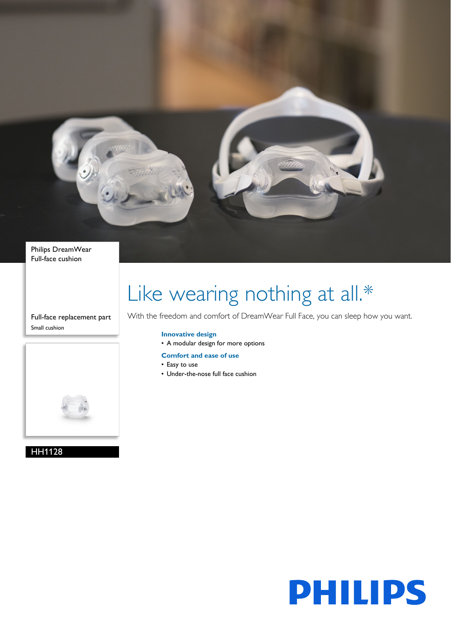

Philips DreamWear Full-face cushion

Full-face replacement part Small cushion



HH1128

# Like wearing nothing at all.\*

With the freedom and comfort of DreamWear Full Face, you can sleep how you want.

## **Innovative design**

- A modular design for more options
- **Comfort and ease of use**
- Easy to use
- Under-the-nose full face cushion